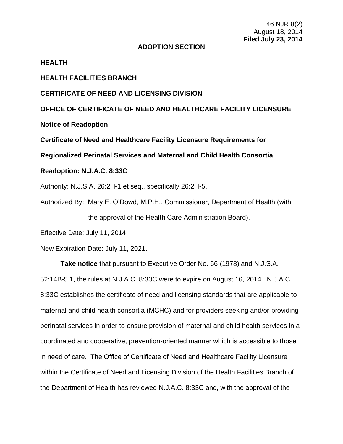#### **ADOPTION SECTION**

#### **HEALTH**

# **HEALTH FACILITIES BRANCH**

### **CERTIFICATE OF NEED AND LICENSING DIVISION**

**OFFICE OF CERTIFICATE OF NEED AND HEALTHCARE FACILITY LICENSURE**

**Notice of Readoption**

**Certificate of Need and Healthcare Facility Licensure Requirements for** 

**Regionalized Perinatal Services and Maternal and Child Health Consortia**

# **Readoption: N.J.A.C. 8:33C**

Authority: N.J.S.A. 26:2H-1 et seq., specifically 26:2H-5.

Authorized By: Mary E. O'Dowd, M.P.H., Commissioner, Department of Health (with the approval of the Health Care Administration Board).

Effective Date: July 11, 2014.

New Expiration Date: July 11, 2021.

**Take notice** that pursuant to Executive Order No. 66 (1978) and N.J.S.A. 52:14B-5.1, the rules at N.J.A.C. 8:33C were to expire on August 16, 2014. N.J.A.C. 8:33C establishes the certificate of need and licensing standards that are applicable to maternal and child health consortia (MCHC) and for providers seeking and/or providing perinatal services in order to ensure provision of maternal and child health services in a coordinated and cooperative, prevention-oriented manner which is accessible to those in need of care. The Office of Certificate of Need and Healthcare Facility Licensure within the Certificate of Need and Licensing Division of the Health Facilities Branch of the Department of Health has reviewed N.J.A.C. 8:33C and, with the approval of the